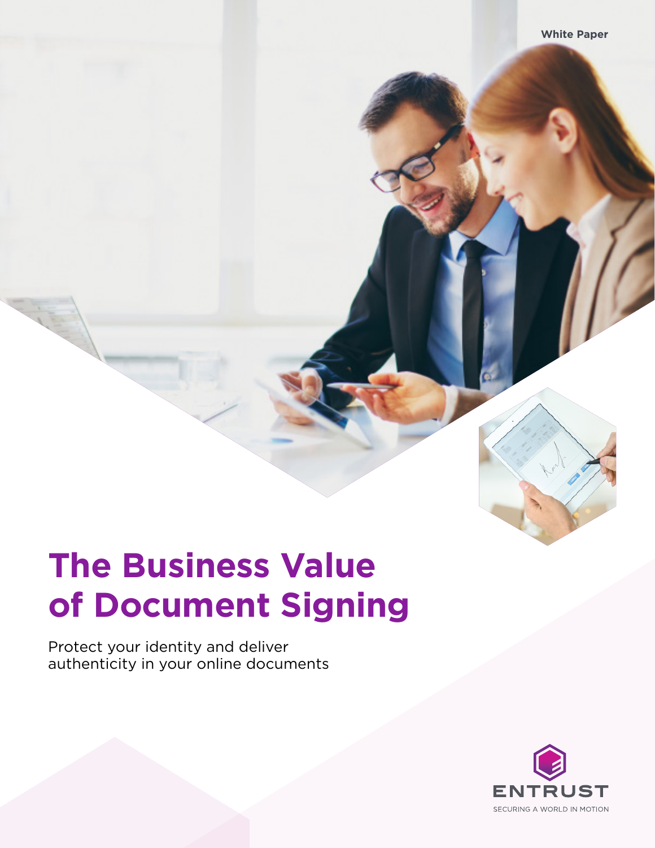# **The Business Value of Document Signing**

Protect your identity and deliver authenticity in your online documents

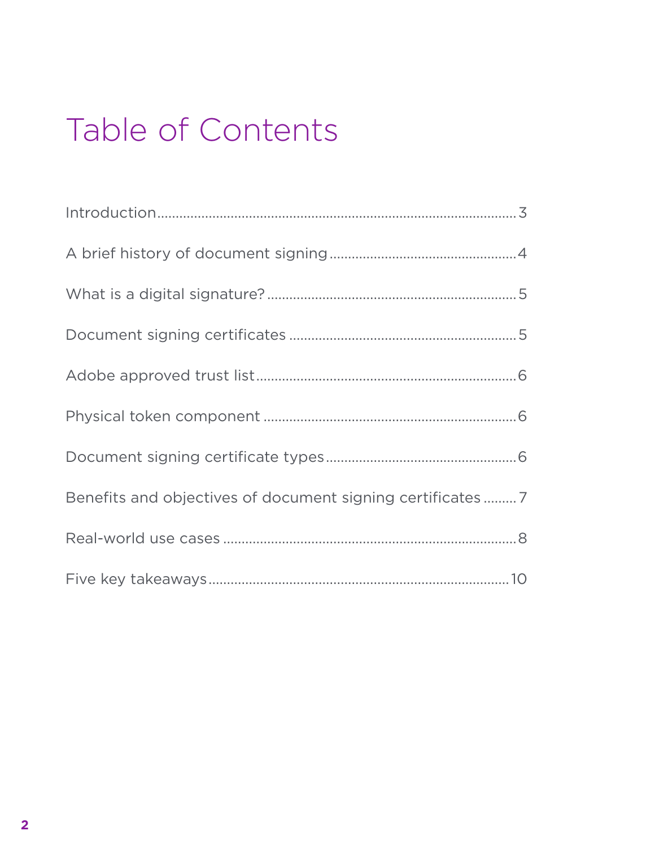# Table of Contents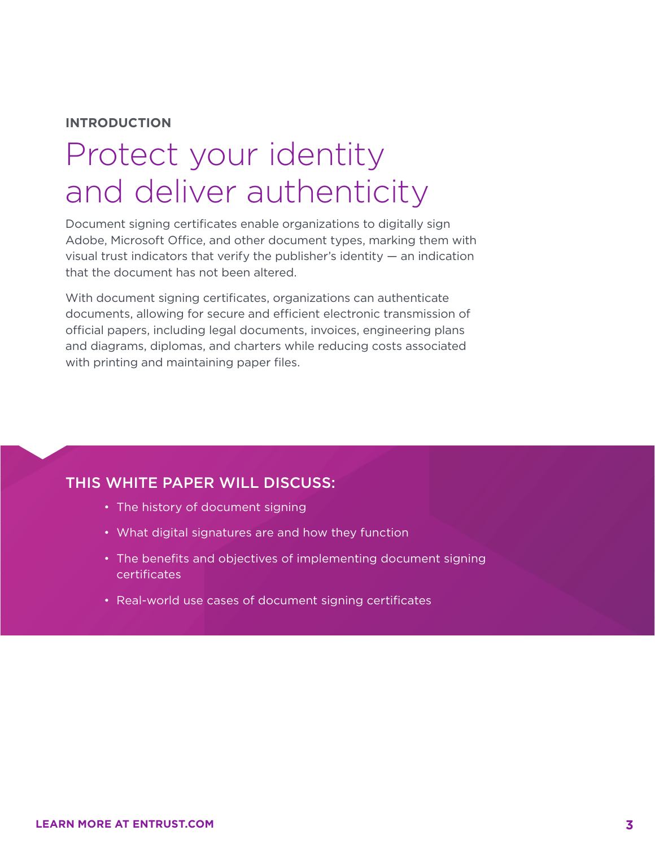#### **INTRODUCTION**

### Protect your identity and deliver authenticity

Document signing certificates enable organizations to digitally sign Adobe, Microsoft Office, and other document types, marking them with visual trust indicators that verify the publisher's identity — an indication that the document has not been altered.

With document signing certificates, organizations can authenticate documents, allowing for secure and efficient electronic transmission of official papers, including legal documents, invoices, engineering plans and diagrams, diplomas, and charters while reducing costs associated with printing and maintaining paper files.

#### THIS WHITE PAPER WILL DISCUSS:

- The history of document signing
- What digital signatures are and how they function
- The benefits and objectives of implementing document signing certificates
- Real-world use cases of document signing certificates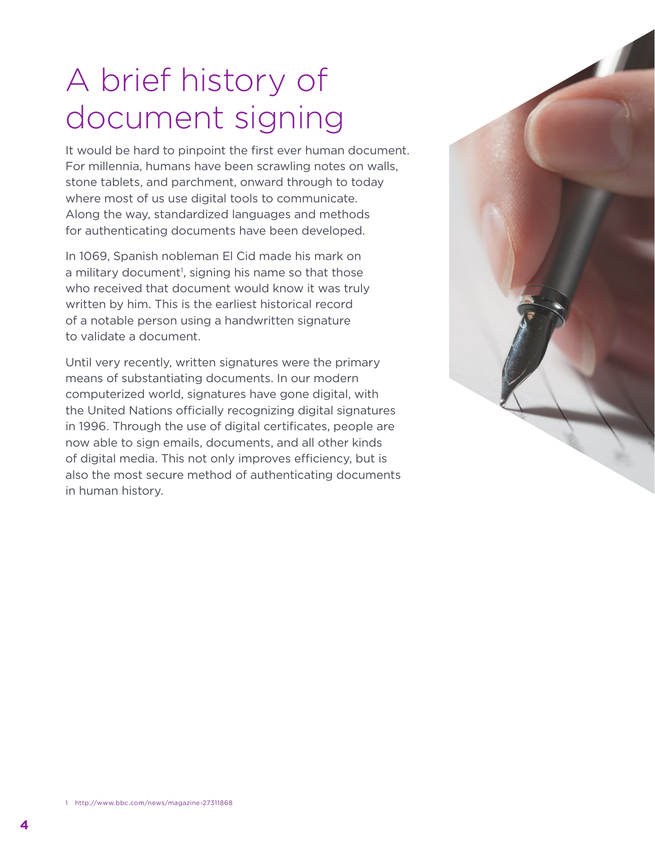# A brief history of document signing

It would be hard to pinpoint the first ever human document. For millennia, humans have been scrawling notes on walls, stone tablets, and parchment, onward through to today where most of us use digital tools to communicate. Along the way, standardized languages and methods for authenticating documents have been developed.

In 1069, Spanish nobleman El Cid made his mark on a military document<sup>1</sup>, signing his name so that those who received that document would know it was truly written by him. This is the earliest historical record of a notable person using a handwritten signature to validate a document.

Until very recently, written signatures were the primary means of substantiating documents. In our modern computerized world, signatures have gone digital, with the United Nations officially recognizing digital signatures in 1996. Through the use of digital certificates, people are now able to sign emails, documents, and all other kinds of digital media. This not only improves efficiency, but is also the most secure method of authenticating documents in human history.

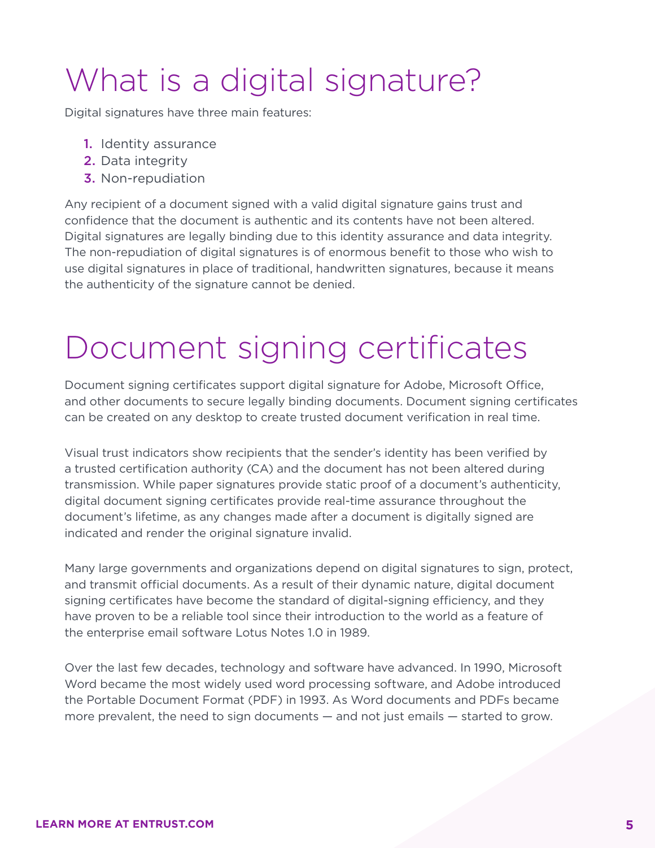# What is a digital signature?

Digital signatures have three main features:

- 1. Identity assurance
- 2. Data integrity
- 3. Non-repudiation

Any recipient of a document signed with a valid digital signature gains trust and confidence that the document is authentic and its contents have not been altered. Digital signatures are legally binding due to this identity assurance and data integrity. The non-repudiation of digital signatures is of enormous benefit to those who wish to use digital signatures in place of traditional, handwritten signatures, because it means the authenticity of the signature cannot be denied.

## Document signing certificates

Document signing certificates support digital signature for Adobe, Microsoft Office, and other documents to secure legally binding documents. Document signing certificates can be created on any desktop to create trusted document verification in real time.

Visual trust indicators show recipients that the sender's identity has been verified by a trusted certification authority (CA) and the document has not been altered during transmission. While paper signatures provide static proof of a document's authenticity, digital document signing certificates provide real-time assurance throughout the document's lifetime, as any changes made after a document is digitally signed are indicated and render the original signature invalid.

Many large governments and organizations depend on digital signatures to sign, protect, and transmit official documents. As a result of their dynamic nature, digital document signing certificates have become the standard of digital-signing efficiency, and they have proven to be a reliable tool since their introduction to the world as a feature of the enterprise email software Lotus Notes 1.0 in 1989.

Over the last few decades, technology and software have advanced. In 1990, Microsoft Word became the most widely used word processing software, and Adobe introduced the Portable Document Format (PDF) in 1993. As Word documents and PDFs became more prevalent, the need to sign documents — and not just emails — started to grow.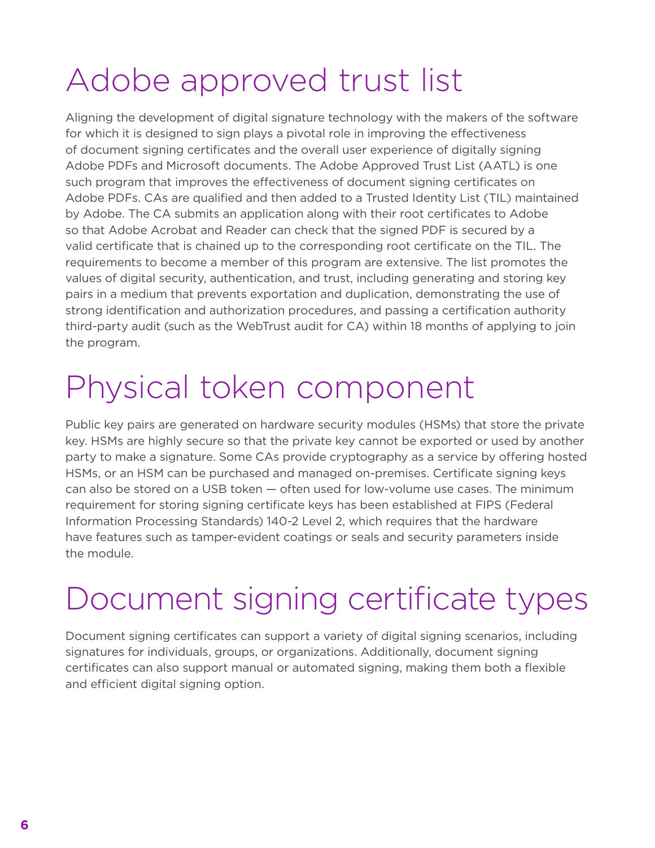# Adobe approved trust list

Aligning the development of digital signature technology with the makers of the software for which it is designed to sign plays a pivotal role in improving the effectiveness of document signing certificates and the overall user experience of digitally signing Adobe PDFs and Microsoft documents. The Adobe Approved Trust List (AATL) is one such program that improves the effectiveness of document signing certificates on Adobe PDFs. CAs are qualified and then added to a Trusted Identity List (TIL) maintained by Adobe. The CA submits an application along with their root certificates to Adobe so that Adobe Acrobat and Reader can check that the signed PDF is secured by a valid certificate that is chained up to the corresponding root certificate on the TIL. The requirements to become a member of this program are extensive. The list promotes the values of digital security, authentication, and trust, including generating and storing key pairs in a medium that prevents exportation and duplication, demonstrating the use of strong identification and authorization procedures, and passing a certification authority third-party audit (such as the WebTrust audit for CA) within 18 months of applying to join the program.

# Physical token component

Public key pairs are generated on hardware security modules (HSMs) that store the private key. HSMs are highly secure so that the private key cannot be exported or used by another party to make a signature. Some CAs provide cryptography as a service by offering hosted HSMs, or an HSM can be purchased and managed on-premises. Certificate signing keys can also be stored on a USB token — often used for low-volume use cases. The minimum requirement for storing signing certificate keys has been established at FIPS (Federal Information Processing Standards) 140-2 Level 2, which requires that the hardware have features such as tamper-evident coatings or seals and security parameters inside the module.

# Document signing certificate types

Document signing certificates can support a variety of digital signing scenarios, including signatures for individuals, groups, or organizations. Additionally, document signing certificates can also support manual or automated signing, making them both a flexible and efficient digital signing option.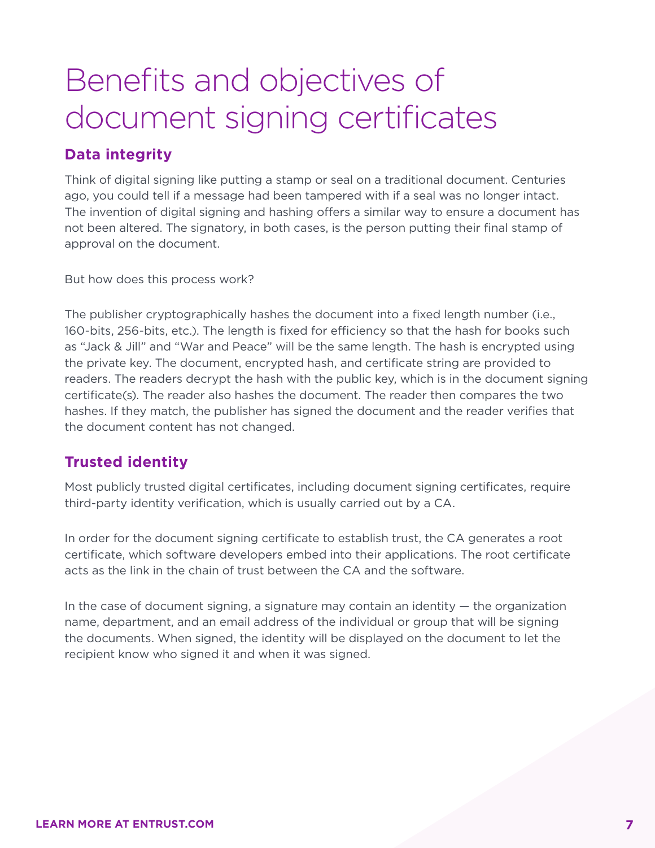## Benefits and objectives of document signing certificates

### **Data integrity**

Think of digital signing like putting a stamp or seal on a traditional document. Centuries ago, you could tell if a message had been tampered with if a seal was no longer intact. The invention of digital signing and hashing offers a similar way to ensure a document has not been altered. The signatory, in both cases, is the person putting their final stamp of approval on the document.

But how does this process work?

The publisher cryptographically hashes the document into a fixed length number (i.e., 160-bits, 256-bits, etc.). The length is fixed for efficiency so that the hash for books such as "Jack & Jill" and "War and Peace" will be the same length. The hash is encrypted using the private key. The document, encrypted hash, and certificate string are provided to readers. The readers decrypt the hash with the public key, which is in the document signing certificate(s). The reader also hashes the document. The reader then compares the two hashes. If they match, the publisher has signed the document and the reader verifies that the document content has not changed.

### **Trusted identity**

Most publicly trusted digital certificates, including document signing certificates, require third-party identity verification, which is usually carried out by a CA.

In order for the document signing certificate to establish trust, the CA generates a root certificate, which software developers embed into their applications. The root certificate acts as the link in the chain of trust between the CA and the software.

In the case of document signing, a signature may contain an identity  $-$  the organization name, department, and an email address of the individual or group that will be signing the documents. When signed, the identity will be displayed on the document to let the recipient know who signed it and when it was signed.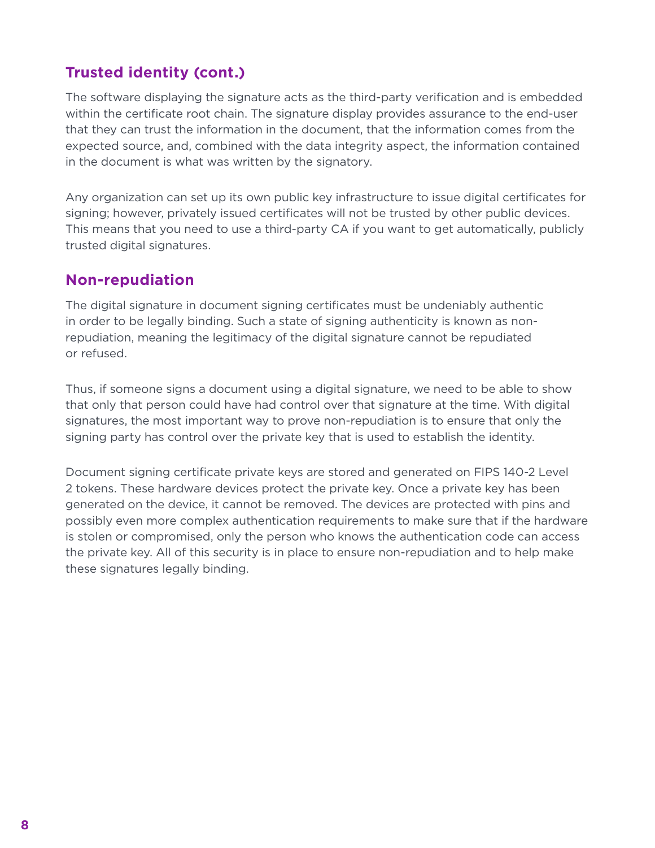### **Trusted identity (cont.)**

The software displaying the signature acts as the third-party verification and is embedded within the certificate root chain. The signature display provides assurance to the end-user that they can trust the information in the document, that the information comes from the expected source, and, combined with the data integrity aspect, the information contained in the document is what was written by the signatory.

Any organization can set up its own public key infrastructure to issue digital certificates for signing; however, privately issued certificates will not be trusted by other public devices. This means that you need to use a third-party CA if you want to get automatically, publicly trusted digital signatures.

#### **Non-repudiation**

The digital signature in document signing certificates must be undeniably authentic in order to be legally binding. Such a state of signing authenticity is known as nonrepudiation, meaning the legitimacy of the digital signature cannot be repudiated or refused.

Thus, if someone signs a document using a digital signature, we need to be able to show that only that person could have had control over that signature at the time. With digital signatures, the most important way to prove non-repudiation is to ensure that only the signing party has control over the private key that is used to establish the identity.

Document signing certificate private keys are stored and generated on FIPS 140-2 Level 2 tokens. These hardware devices protect the private key. Once a private key has been generated on the device, it cannot be removed. The devices are protected with pins and possibly even more complex authentication requirements to make sure that if the hardware is stolen or compromised, only the person who knows the authentication code can access the private key. All of this security is in place to ensure non-repudiation and to help make these signatures legally binding.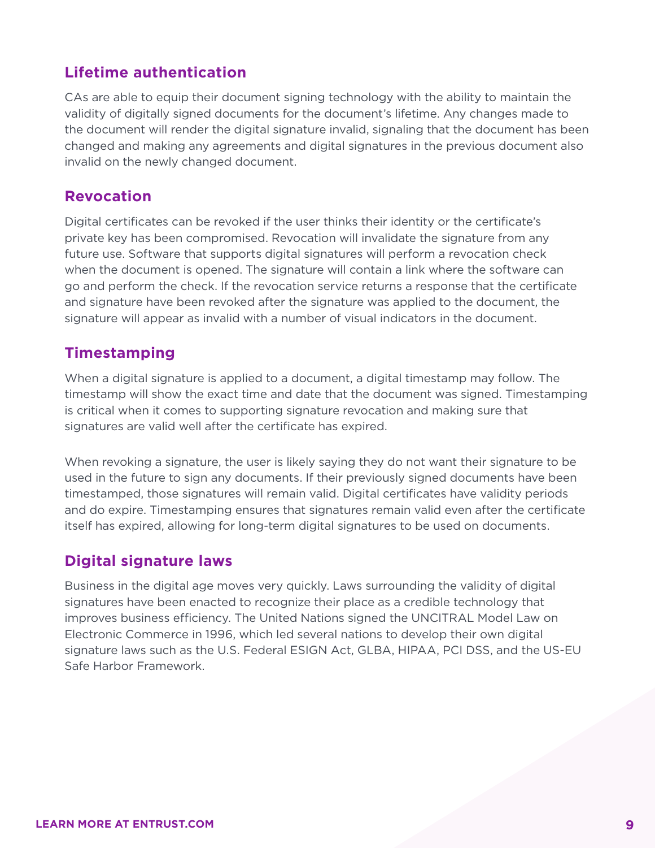### **Lifetime authentication**

CAs are able to equip their document signing technology with the ability to maintain the validity of digitally signed documents for the document's lifetime. Any changes made to the document will render the digital signature invalid, signaling that the document has been changed and making any agreements and digital signatures in the previous document also invalid on the newly changed document.

#### **Revocation**

Digital certificates can be revoked if the user thinks their identity or the certificate's private key has been compromised. Revocation will invalidate the signature from any future use. Software that supports digital signatures will perform a revocation check when the document is opened. The signature will contain a link where the software can go and perform the check. If the revocation service returns a response that the certificate and signature have been revoked after the signature was applied to the document, the signature will appear as invalid with a number of visual indicators in the document.

#### **Timestamping**

When a digital signature is applied to a document, a digital timestamp may follow. The timestamp will show the exact time and date that the document was signed. Timestamping is critical when it comes to supporting signature revocation and making sure that signatures are valid well after the certificate has expired.

When revoking a signature, the user is likely saying they do not want their signature to be used in the future to sign any documents. If their previously signed documents have been timestamped, those signatures will remain valid. Digital certificates have validity periods and do expire. Timestamping ensures that signatures remain valid even after the certificate itself has expired, allowing for long-term digital signatures to be used on documents.

#### **Digital signature laws**

Business in the digital age moves very quickly. Laws surrounding the validity of digital signatures have been enacted to recognize their place as a credible technology that improves business efficiency. The United Nations signed the UNCITRAL Model Law on Electronic Commerce in 1996, which led several nations to develop their own digital signature laws such as the U.S. Federal ESIGN Act, GLBA, HIPAA, PCI DSS, and the US-EU Safe Harbor Framework.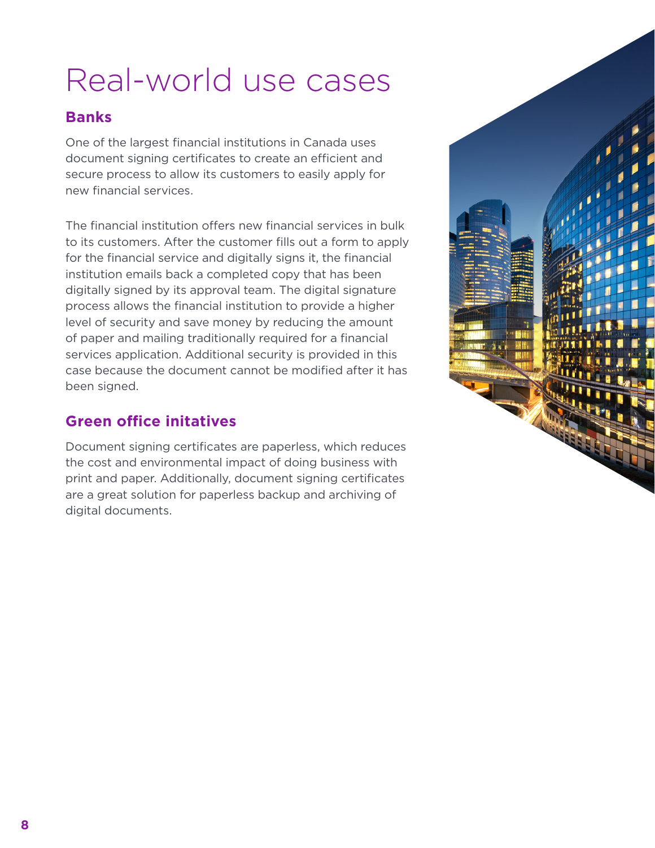# Real-world use cases

### **Banks**

One of the largest financial institutions in Canada uses document signing certificates to create an efficient and secure process to allow its customers to easily apply for new financial services.

The financial institution offers new financial services in bulk to its customers. After the customer fills out a form to apply for the financial service and digitally signs it, the financial institution emails back a completed copy that has been digitally signed by its approval team. The digital signature process allows the financial institution to provide a higher level of security and save money by reducing the amount of paper and mailing traditionally required for a financial services application. Additional security is provided in this case because the document cannot be modified after it has been signed.

### **Green office initatives**

Document signing certificates are paperless, which reduces the cost and environmental impact of doing business with print and paper. Additionally, document signing certificates are a great solution for paperless backup and archiving of digital documents.

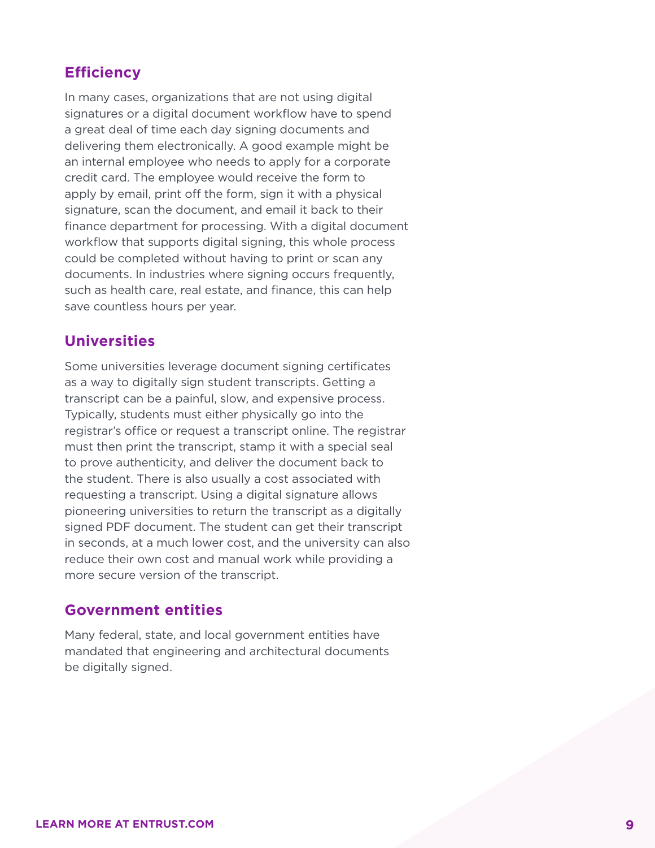### **Efficiency**

In many cases, organizations that are not using digital signatures or a digital document workflow have to spend a great deal of time each day signing documents and delivering them electronically. A good example might be an internal employee who needs to apply for a corporate credit card. The employee would receive the form to apply by email, print off the form, sign it with a physical signature, scan the document, and email it back to their finance department for processing. With a digital document workflow that supports digital signing, this whole process could be completed without having to print or scan any documents. In industries where signing occurs frequently, such as health care, real estate, and finance, this can help save countless hours per year.

#### **Universities**

Some universities leverage document signing certificates as a way to digitally sign student transcripts. Getting a transcript can be a painful, slow, and expensive process. Typically, students must either physically go into the registrar's office or request a transcript online. The registrar must then print the transcript, stamp it with a special seal to prove authenticity, and deliver the document back to the student. There is also usually a cost associated with requesting a transcript. Using a digital signature allows pioneering universities to return the transcript as a digitally signed PDF document. The student can get their transcript in seconds, at a much lower cost, and the university can also reduce their own cost and manual work while providing a more secure version of the transcript.

#### **Government entities**

Many federal, state, and local government entities have mandated that engineering and architectural documents be digitally signed.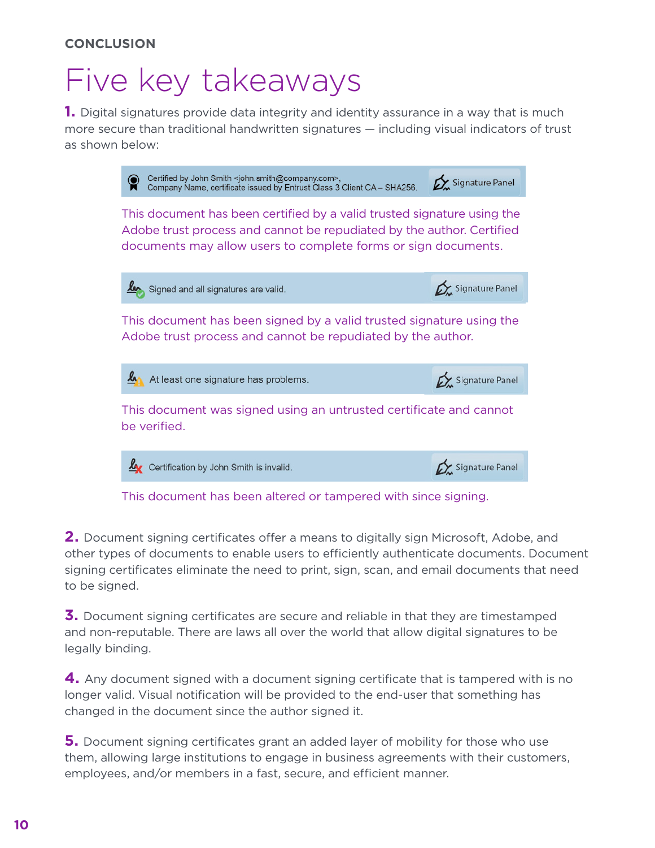### Five key takeaways

**1.** Digital signatures provide data integrity and identity assurance in a way that is much more secure than traditional handwritten signatures — including visual indicators of trust as shown below:



This document has been altered or tampered with since signing.

**2.** Document signing certificates offer a means to digitally sign Microsoft, Adobe, and other types of documents to enable users to efficiently authenticate documents. Document signing certificates eliminate the need to print, sign, scan, and email documents that need to be signed.

**3.** Document signing certificates are secure and reliable in that they are timestamped and non-reputable. There are laws all over the world that allow digital signatures to be legally binding.

**4.** Any document signed with a document signing certificate that is tampered with is no longer valid. Visual notification will be provided to the end-user that something has changed in the document since the author signed it.

**5.** Document signing certificates grant an added layer of mobility for those who use them, allowing large institutions to engage in business agreements with their customers, employees, and/or members in a fast, secure, and efficient manner.